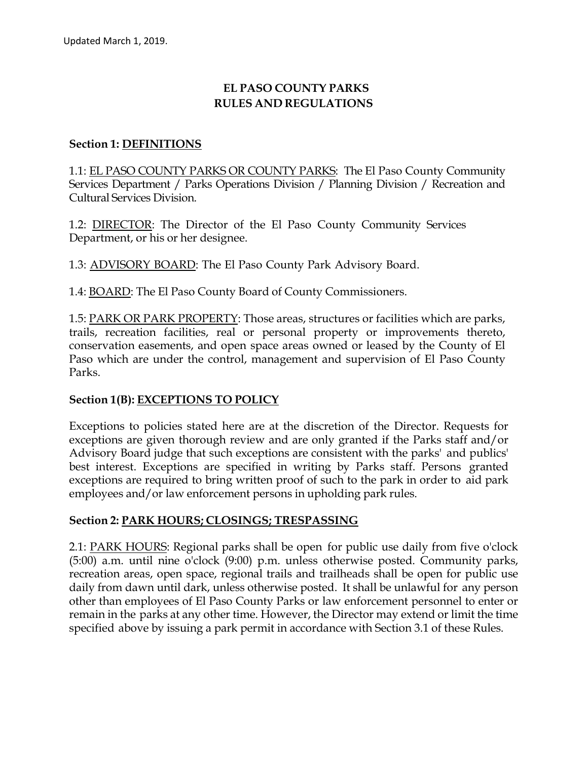# **EL PASO COUNTY PARKS RULES AND REGULATIONS**

### **Section 1: DEFINITIONS**

1.1: EL PASO COUNTY PARKS OR COUNTY PARKS: The El Paso County Community Services Department / Parks Operations Division / Planning Division / Recreation and Cultural Services Division.

1.2: **DIRECTOR:** The Director of the El Paso County Community Services Department, or his or her designee.

1.3: ADVISORY BOARD: The El Paso County Park Advisory Board.

1.4: BOARD: The El Paso County Board of County Commissioners.

1.5: PARK OR PARK PROPERTY: Those areas, structures or facilities which are parks, trails, recreation facilities, real or personal property or improvements thereto, conservation easements, and open space areas owned or leased by the County of El Paso which are under the control, management and supervision of El Paso County Parks.

# **Section 1(B): EXCEPTIONS TO POLICY**

Exceptions to policies stated here are at the discretion of the Director. Requests for exceptions are given thorough review and are only granted if the Parks staff and/or Advisory Board judge that such exceptions are consistent with the parks' and publics' best interest. Exceptions are specified in writing by Parks staff. Persons granted exceptions are required to bring written proof of such to the park in order to aid park employees and/or law enforcement persons in upholding park rules.

### **Section 2: PARK HOURS; CLOSINGS; TRESPASSING**

2.1: PARK HOURS: Regional parks shall be open for public use daily from five o'clock (5:00) a.m. until nine o'clock (9:00) p.m. unless otherwise posted. Community parks, recreation areas, open space, regional trails and trailheads shall be open for public use daily from dawn until dark, unless otherwise posted. It shall be unlawful for any person other than employees of El Paso County Parks or law enforcement personnel to enter or remain in the parks at any other time. However, the Director may extend or limit the time specified above by issuing a park permit in accordance with Section 3.1 of these Rules.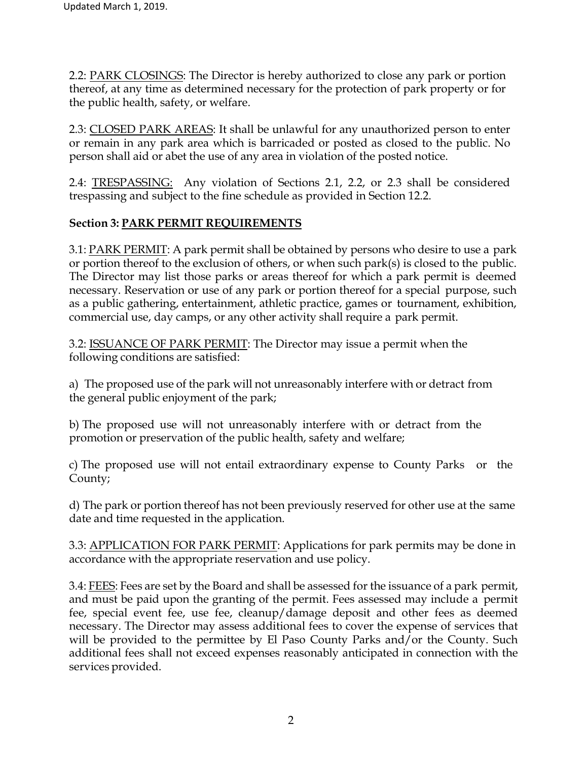2.2: PARK CLOSINGS: The Director is hereby authorized to close any park or portion thereof, at any time as determined necessary for the protection of park property or for the public health, safety, or welfare.

2.3: CLOSED PARK AREAS: It shall be unlawful for any unauthorized person to enter or remain in any park area which is barricaded or posted as closed to the public. No person shall aid or abet the use of any area in violation of the posted notice.

2.4: TRESPASSING: Any violation of Sections 2.1, 2.2, or 2.3 shall be considered trespassing and subject to the fine schedule as provided in Section 12.2.

## **Section 3: PARK PERMIT REQUIREMENTS**

3.1: PARK PERMIT: A park permit shall be obtained by persons who desire to use a park or portion thereof to the exclusion of others, or when such park(s) is closed to the public. The Director may list those parks or areas thereof for which a park permit is deemed necessary. Reservation or use of any park or portion thereof for a special purpose, such as a public gathering, entertainment, athletic practice, games or tournament, exhibition, commercial use, day camps, or any other activity shall require a park permit.

3.2: ISSUANCE OF PARK PERMIT: The Director may issue a permit when the following conditions are satisfied:

a) The proposed use of the park will not unreasonably interfere with or detract from the general public enjoyment of the park;

b) The proposed use will not unreasonably interfere with or detract from the promotion or preservation of the public health, safety and welfare;

c) The proposed use will not entail extraordinary expense to County Parks or the County;

d) The park or portion thereof has not been previously reserved for other use at the same date and time requested in the application.

3.3: APPLICATION FOR PARK PERMIT: Applications for park permits may be done in accordance with the appropriate reservation and use policy.

3.4: FEES: Fees are set by the Board and shall be assessed for the issuance of a park permit, and must be paid upon the granting of the permit. Fees assessed may include a permit fee, special event fee, use fee, cleanup/damage deposit and other fees as deemed necessary. The Director may assess additional fees to cover the expense of services that will be provided to the permittee by El Paso County Parks and/or the County. Such additional fees shall not exceed expenses reasonably anticipated in connection with the services provided.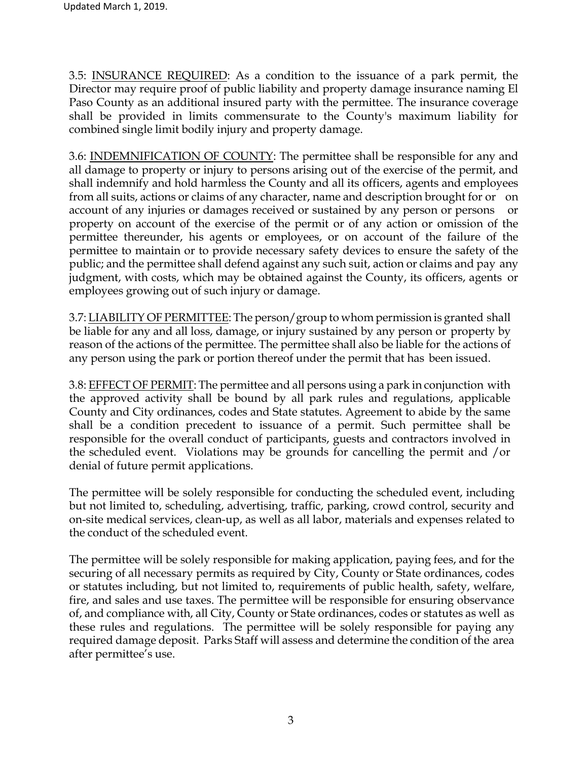3.5: INSURANCE REQUIRED: As a condition to the issuance of a park permit, the Director may require proof of public liability and property damage insurance naming El Paso County as an additional insured party with the permittee. The insurance coverage shall be provided in limits commensurate to the County's maximum liability for combined single limit bodily injury and property damage.

3.6: INDEMNIFICATION OF COUNTY: The permittee shall be responsible for any and all damage to property or injury to persons arising out of the exercise of the permit, and shall indemnify and hold harmless the County and all its officers, agents and employees from all suits, actions or claims of any character, name and description brought for or on account of any injuries or damages received or sustained by any person or persons or property on account of the exercise of the permit or of any action or omission of the permittee thereunder, his agents or employees, or on account of the failure of the permittee to maintain or to provide necessary safety devices to ensure the safety of the public; and the permittee shall defend against any such suit, action or claims and pay any judgment, with costs, which may be obtained against the County, its officers, agents or employees growing out of such injury or damage.

3.7: LIABILITY OF PERMITTEE: The person/group to whom permission is granted shall be liable for any and all loss, damage, or injury sustained by any person or property by reason of the actions of the permittee. The permittee shall also be liable for the actions of any person using the park or portion thereof under the permit that has been issued.

3.8: EFFECT OF PERMIT: The permittee and all persons using a park in conjunction with the approved activity shall be bound by all park rules and regulations, applicable County and City ordinances, codes and State statutes. Agreement to abide by the same shall be a condition precedent to issuance of a permit. Such permittee shall be responsible for the overall conduct of participants, guests and contractors involved in the scheduled event. Violations may be grounds for cancelling the permit and /or denial of future permit applications.

The permittee will be solely responsible for conducting the scheduled event, including but not limited to, scheduling, advertising, traffic, parking, crowd control, security and on-site medical services, clean-up, as well as all labor, materials and expenses related to the conduct of the scheduled event.

The permittee will be solely responsible for making application, paying fees, and for the securing of all necessary permits as required by City, County or State ordinances, codes or statutes including, but not limited to, requirements of public health, safety, welfare, fire, and sales and use taxes. The permittee will be responsible for ensuring observance of, and compliance with, all City, County or State ordinances, codes or statutes as well as these rules and regulations. The permittee will be solely responsible for paying any required damage deposit. Parks Staff will assess and determine the condition of the area after permittee's use.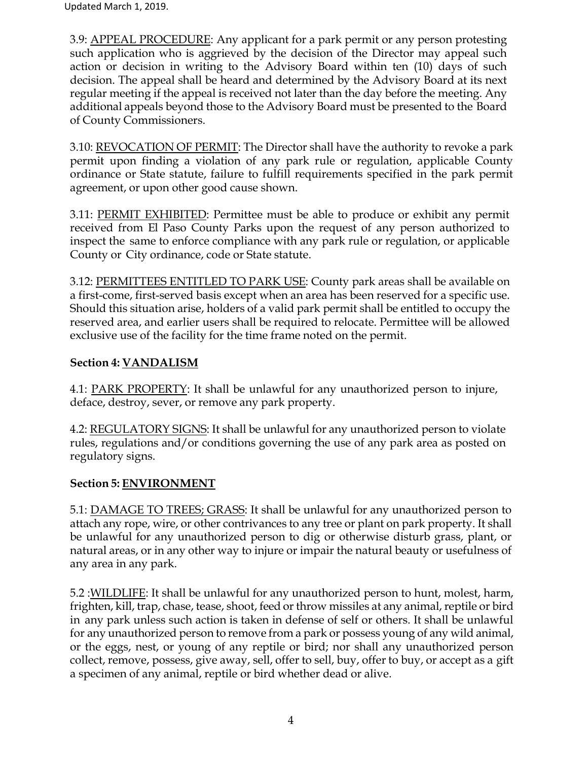3.9: APPEAL PROCEDURE: Any applicant for a park permit or any person protesting such application who is aggrieved by the decision of the Director may appeal such action or decision in writing to the Advisory Board within ten (10) days of such decision. The appeal shall be heard and determined by the Advisory Board at its next regular meeting if the appeal is received not later than the day before the meeting. Any additional appeals beyond those to the Advisory Board must be presented to the Board of County Commissioners.

3.10: REVOCATION OF PERMIT: The Director shall have the authority to revoke a park permit upon finding a violation of any park rule or regulation, applicable County ordinance or State statute, failure to fulfill requirements specified in the park permit agreement, or upon other good cause shown.

3.11: PERMIT EXHIBITED: Permittee must be able to produce or exhibit any permit received from El Paso County Parks upon the request of any person authorized to inspect the same to enforce compliance with any park rule or regulation, or applicable County or City ordinance, code or State statute.

3.12: PERMITTEES ENTITLED TO PARK USE: County park areas shall be available on a first-come, first-served basis except when an area has been reserved for a specific use. Should this situation arise, holders of a valid park permit shall be entitled to occupy the reserved area, and earlier users shall be required to relocate. Permittee will be allowed exclusive use of the facility for the time frame noted on the permit.

# **Section 4: VANDALISM**

4.1: PARK PROPERTY: It shall be unlawful for any unauthorized person to injure, deface, destroy, sever, or remove any park property.

4.2: REGULATORY SIGNS: It shall be unlawful for any unauthorized person to violate rules, regulations and/or conditions governing the use of any park area as posted on regulatory signs.

# **Section 5: ENVIRONMENT**

5.1: DAMAGE TO TREES; GRASS: It shall be unlawful for any unauthorized person to attach any rope, wire, or other contrivances to any tree or plant on park property. It shall be unlawful for any unauthorized person to dig or otherwise disturb grass, plant, or natural areas, or in any other way to injure or impair the natural beauty or usefulness of any area in any park.

5.2 :WILDLIFE: It shall be unlawful for any unauthorized person to hunt, molest, harm, frighten, kill, trap, chase, tease, shoot, feed orthrow missiles at any animal, reptile or bird in any park unless such action is taken in defense of self or others. It shall be unlawful for any unauthorized person to remove from a park or possess young of any wild animal, or the eggs, nest, or young of any reptile or bird; nor shall any unauthorized person collect, remove, possess, give away, sell, offer to sell, buy, offer to buy, or accept as a gift a specimen of any animal, reptile or bird whether dead or alive.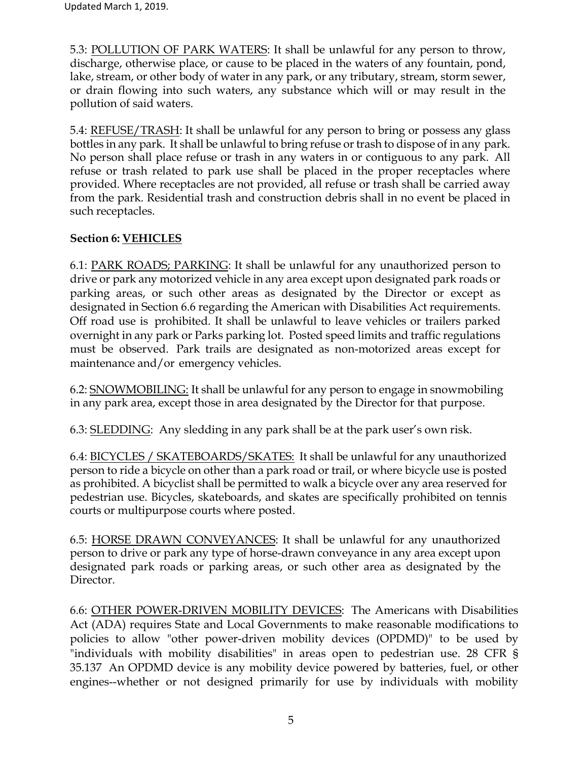5.3: POLLUTION OF PARK WATERS: It shall be unlawful for any person to throw, discharge, otherwise place, or cause to be placed in the waters of any fountain, pond, lake, stream, or other body of water in any park, or any tributary, stream, storm sewer, or drain flowing into such waters, any substance which will or may result in the pollution of said waters.

5.4: REFUSE/TRASH: It shall be unlawful for any person to bring or possess any glass bottles in any park. It shall be unlawful to bring refuse or trash to dispose of in any park. No person shall place refuse or trash in any waters in or contiguous to any park. All refuse or trash related to park use shall be placed in the proper receptacles where provided. Where receptacles are not provided, all refuse or trash shall be carried away from the park. Residential trash and construction debris shall in no event be placed in such receptacles.

## **Section 6: VEHICLES**

6.1: PARK ROADS; PARKING: It shall be unlawful for any unauthorized person to drive or park any motorized vehicle in any area except upon designated park roads or parking areas, or such other areas as designated by the Director or except as designated in Section 6.6 regarding the American with Disabilities Act requirements. Off road use is prohibited. It shall be unlawful to leave vehicles or trailers parked overnight in any park or Parks parking lot. Posted speed limits and traffic regulations must be observed. Park trails are designated as non-motorized areas except for maintenance and/or emergency vehicles.

6.2: SNOWMOBILING: It shall be unlawful for any person to engage in snowmobiling in any park area, except those in area designated by the Director for that purpose.

6.3: SLEDDING: Any sledding in any park shall be at the park user's own risk.

6.4: BICYCLES / SKATEBOARDS/SKATES: It shall be unlawful for any unauthorized person to ride a bicycle on other than a park road or trail, or where bicycle use is posted as prohibited. A bicyclist shall be permitted to walk a bicycle over any area reserved for pedestrian use. Bicycles, skateboards, and skates are specifically prohibited on tennis courts or multipurpose courts where posted.

6.5: HORSE DRAWN CONVEYANCES: It shall be unlawful for any unauthorized person to drive or park any type of horse-drawn conveyance in any area except upon designated park roads or parking areas, or such other area as designated by the Director.

6.6: OTHER POWER-DRIVEN MOBILITY DEVICES: The Americans with Disabilities Act (ADA) requires State and Local Governments to make reasonable modifications to policies to allow "other power-driven mobility devices (OPDMD)" to be used by "individuals with mobility disabilities" in areas open to pedestrian use. 28 CFR § 35.137 An OPDMD device is any mobility device powered by batteries, fuel, or other engines--whether or not designed primarily for use by individuals with mobility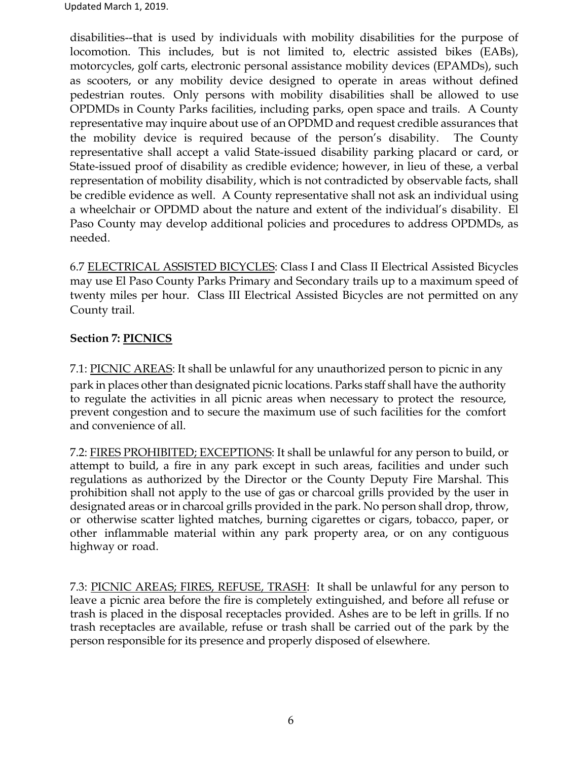disabilities--that is used by individuals with mobility disabilities for the purpose of locomotion. This includes, but is not limited to, electric assisted bikes (EABs), motorcycles, golf carts, electronic personal assistance mobility devices (EPAMDs), such as scooters, or any mobility device designed to operate in areas without defined pedestrian routes. Only persons with mobility disabilities shall be allowed to use OPDMDs in County Parks facilities, including parks, open space and trails. A County representative may inquire about use of an OPDMD and request credible assurances that the mobility device is required because of the person's disability. The County representative shall accept a valid State-issued disability parking placard or card, or State-issued proof of disability as credible evidence; however, in lieu of these, a verbal representation of mobility disability, which is not contradicted by observable facts, shall be credible evidence as well. A County representative shall not ask an individual using a wheelchair or OPDMD about the nature and extent of the individual's disability. El Paso County may develop additional policies and procedures to address OPDMDs, as needed.

6.7 ELECTRICAL ASSISTED BICYCLES: Class I and Class II Electrical Assisted Bicycles may use El Paso County Parks Primary and Secondary trails up to a maximum speed of twenty miles per hour. Class III Electrical Assisted Bicycles are not permitted on any County trail.

# **Section 7: PICNICS**

7.1: PICNIC AREAS: It shall be unlawful for any unauthorized person to picnic in any park in places other than designated picnic locations. Parks staff shall have the authority to regulate the activities in all picnic areas when necessary to protect the resource, prevent congestion and to secure the maximum use of such facilities for the comfort and convenience of all.

7.2: FIRES PROHIBITED; EXCEPTIONS: It shall be unlawful for any person to build, or attempt to build, a fire in any park except in such areas, facilities and under such regulations as authorized by the Director or the County Deputy Fire Marshal. This prohibition shall not apply to the use of gas or charcoal grills provided by the user in designated areas or in charcoal grills provided in the park. No person shall drop, throw, or otherwise scatter lighted matches, burning cigarettes or cigars, tobacco, paper, or other inflammable material within any park property area, or on any contiguous highway or road.

7.3: PICNIC AREAS; FIRES, REFUSE, TRASH: It shall be unlawful for any person to leave a picnic area before the fire is completely extinguished, and before all refuse or trash is placed in the disposal receptacles provided. Ashes are to be left in grills. If no trash receptacles are available, refuse or trash shall be carried out of the park by the person responsible for its presence and properly disposed of elsewhere.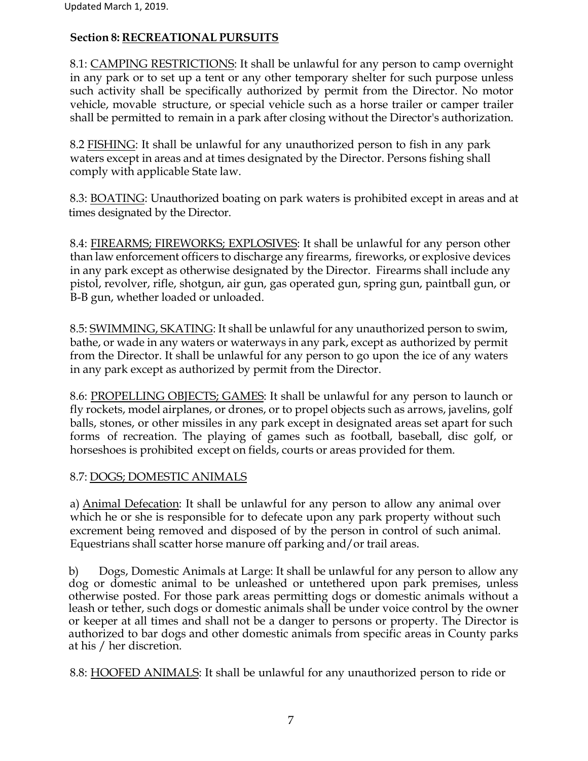## **Section 8: RECREATIONAL PURSUITS**

8.1: CAMPING RESTRICTIONS: It shall be unlawful for any person to camp overnight in any park or to set up a tent or any other temporary shelter for such purpose unless such activity shall be specifically authorized by permit from the Director. No motor vehicle, movable structure, or special vehicle such as a horse trailer or camper trailer shall be permitted to remain in a park after closing without the Director's authorization.

8.2 FISHING: It shall be unlawful for any unauthorized person to fish in any park waters except in areas and at times designated by the Director. Persons fishing shall comply with applicable State law.

8.3: BOATING: Unauthorized boating on park waters is prohibited except in areas and at times designated by the Director.

8.4: FIREARMS; FIREWORKS; EXPLOSIVES: It shall be unlawful for any person other than law enforcement officers to discharge any firearms, fireworks, or explosive devices in any park except as otherwise designated by the Director. Firearms shall include any pistol, revolver, rifle, shotgun, air gun, gas operated gun, spring gun, paintball gun, or B-B gun, whether loaded or unloaded.

8.5: SWIMMING, SKATING: It shall be unlawful for any unauthorized person to swim, bathe, or wade in any waters or waterways in any park, except as authorized by permit from the Director. It shall be unlawful for any person to go upon the ice of any waters in any park except as authorized by permit from the Director.

8.6: PROPELLING OBJECTS; GAMES: It shall be unlawful for any person to launch or fly rockets, model airplanes, or drones, or to propel objects such as arrows, javelins, golf balls, stones, or other missiles in any park except in designated areas set apart for such forms of recreation. The playing of games such as football, baseball, disc golf, or horseshoes is prohibited except on fields, courts or areas provided for them.

### 8.7: DOGS; DOMESTIC ANIMALS

a) Animal Defecation: It shall be unlawful for any person to allow any animal over which he or she is responsible for to defecate upon any park property without such excrement being removed and disposed of by the person in control of such animal. Equestrians shall scatter horse manure off parking and/or trail areas.

b) Dogs, Domestic Animals at Large: It shall be unlawful for any person to allow any dog or domestic animal to be unleashed or untethered upon park premises, unless otherwise posted. For those park areas permitting dogs or domestic animals without a leash or tether, such dogs or domestic animals shall be under voice control by the owner or keeper at all times and shall not be a danger to persons or property. The Director is authorized to bar dogs and other domestic animals from specific areas in County parks at his / her discretion.

8.8: HOOFED ANIMALS: It shall be unlawful for any unauthorized person to ride or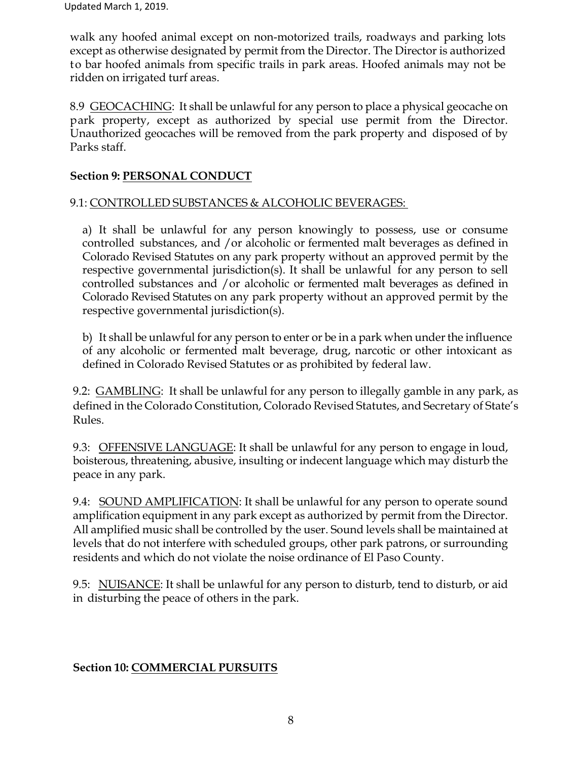walk any hoofed animal except on non-motorized trails, roadways and parking lots except as otherwise designated by permit from the Director. The Director is authorized to bar hoofed animals from specific trails in park areas. Hoofed animals may not be ridden on irrigated turf areas.

8.9 GEOCACHING: It shall be unlawful for any person to place a physical geocache on park property, except as authorized by special use permit from the Director. Unauthorized geocaches will be removed from the park property and disposed of by Parks staff.

## **Section 9: PERSONAL CONDUCT**

## 9.1: CONTROLLED SUBSTANCES & ALCOHOLIC BEVERAGES:

a) It shall be unlawful for any person knowingly to possess, use or consume controlled substances, and /or alcoholic or fermented malt beverages as defined in Colorado Revised Statutes on any park property without an approved permit by the respective governmental jurisdiction(s). It shall be unlawful for any person to sell controlled substances and /or alcoholic or fermented malt beverages as defined in Colorado Revised Statutes on any park property without an approved permit by the respective governmental jurisdiction(s).

b) It shall be unlawful for any person to enter or be in a park when under the influence of any alcoholic or fermented malt beverage, drug, narcotic or other intoxicant as defined in Colorado Revised Statutes or as prohibited by federal law.

9.2: GAMBLING: It shall be unlawful for any person to illegally gamble in any park, as defined in the Colorado Constitution, Colorado Revised Statutes, and Secretary of State's Rules.

9.3: OFFENSIVE LANGUAGE: It shall be unlawful for any person to engage in loud, boisterous, threatening, abusive, insulting or indecent language which may disturb the peace in any park.

9.4: SOUND AMPLIFICATION: It shall be unlawful for any person to operate sound amplification equipment in any park except as authorized by permit from the Director. All amplified music shall be controlled by the user. Sound levels shall be maintained at levels that do not interfere with scheduled groups, other park patrons, or surrounding residents and which do not violate the noise ordinance of El Paso County.

9.5: NUISANCE: It shall be unlawful for any person to disturb, tend to disturb, or aid in disturbing the peace of others in the park.

# **Section 10: COMMERCIAL PURSUITS**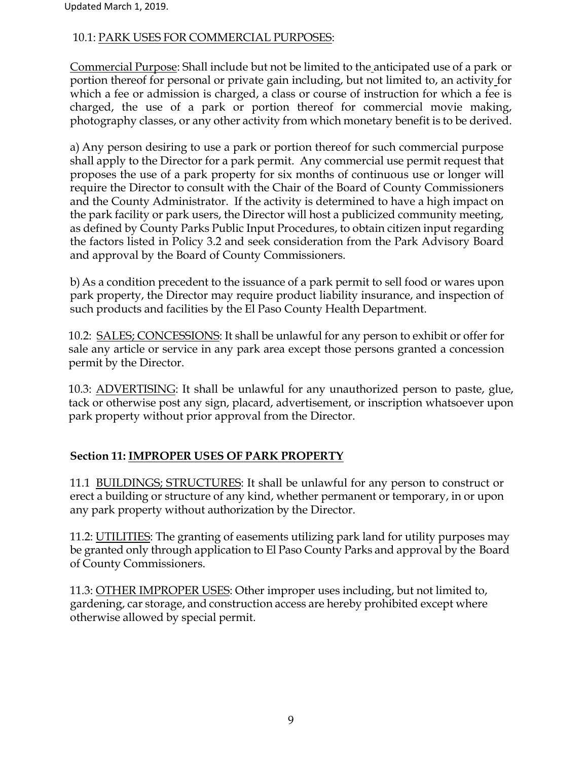### 10.1: PARK USES FOR COMMERCIAL PURPOSES:

Commercial Purpose: Shall include but not be limited to the anticipated use of a park or portion thereof for personal or private gain including, but not limited to, an activity for which a fee or admission is charged, a class or course of instruction for which a fee is charged, the use of a park or portion thereof for commercial movie making, photography classes, or any other activity from which monetary benefit is to be derived.

a) Any person desiring to use a park or portion thereof for such commercial purpose shall apply to the Director for a park permit. Any commercial use permit request that proposes the use of a park property for six months of continuous use or longer will require the Director to consult with the Chair of the Board of County Commissioners and the County Administrator. If the activity is determined to have a high impact on the park facility or park users, the Director will host a publicized community meeting, as defined by County Parks Public Input Procedures, to obtain citizen input regarding the factors listed in Policy 3.2 and seek consideration from the Park Advisory Board and approval by the Board of County Commissioners.

b)As a condition precedent to the issuance of a park permit to sell food or wares upon park property, the Director may require product liability insurance, and inspection of such products and facilities by the El Paso County Health Department.

10.2: SALES; CONCESSIONS: It shall be unlawful for any person to exhibit or offer for sale any article or service in any park area except those persons granted a concession permit by the Director.

10.3: ADVERTISING: It shall be unlawful for any unauthorized person to paste, glue, tack or otherwise post any sign, placard, advertisement, or inscription whatsoever upon park property without prior approval from the Director.

### **Section 11: IMPROPER USES OF PARK PROPERTY**

11.1 BUILDINGS; STRUCTURES: It shall be unlawful for any person to construct or erect a building or structure of any kind, whether permanent or temporary, in or upon any park property without authorization by the Director.

11.2: UTILITIES: The granting of easements utilizing park land for utility purposes may be granted only through application to El Paso County Parks and approval by the Board of County Commissioners.

11.3: OTHER IMPROPER USES: Other improper uses including, but not limited to, gardening, car storage, and construction access are hereby prohibited except where otherwise allowed by special permit.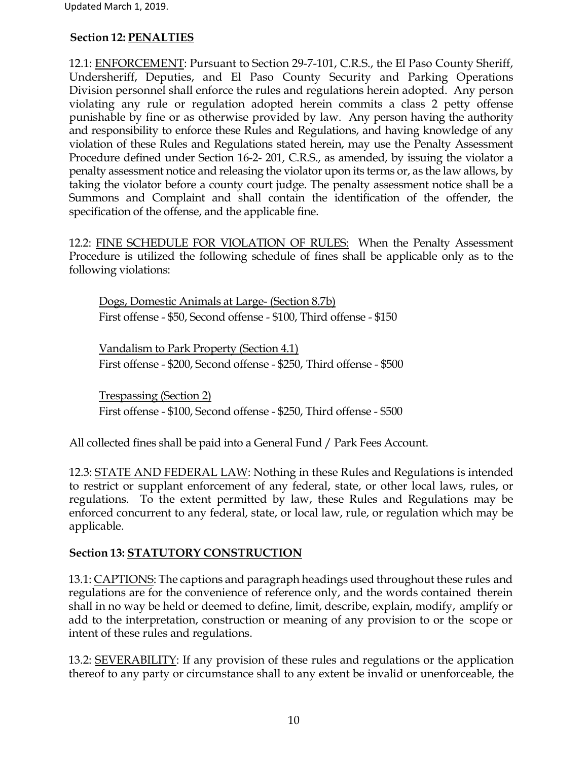#### **Section 12: PENALTIES**

12.1: ENFORCEMENT: Pursuant to Section 29-7-101, C.R.S., the El Paso County Sheriff, Undersheriff, Deputies, and El Paso County Security and Parking Operations Division personnel shall enforce the rules and regulations herein adopted. Any person violating any rule or regulation adopted herein commits a class 2 petty offense punishable by fine or as otherwise provided by law. Any person having the authority and responsibility to enforce these Rules and Regulations, and having knowledge of any violation of these Rules and Regulations stated herein, may use the Penalty Assessment Procedure defined under Section 16-2- 201, C.R.S., as amended, by issuing the violator a penalty assessment notice and releasing the violator upon its terms or, as the law allows, by taking the violator before a county court judge. The penalty assessment notice shall be a Summons and Complaint and shall contain the identification of the offender, the specification of the offense, and the applicable fine.

12.2: FINE SCHEDULE FOR VIOLATION OF RULES: When the Penalty Assessment Procedure is utilized the following schedule of fines shall be applicable only as to the following violations:

Dogs, Domestic Animals at Large- (Section 8.7b) First offense - \$50, Second offense - \$100, Third offense - \$150

Vandalism to Park Property (Section 4.1) First offense - \$200, Second offense - \$250, Third offense - \$500

Trespassing (Section 2) First offense - \$100, Second offense - \$250, Third offense - \$500

All collected fines shall be paid into a General Fund / Park Fees Account.

12.3: STATE AND FEDERAL LAW: Nothing in these Rules and Regulations is intended to restrict or supplant enforcement of any federal, state, or other local laws, rules, or regulations. To the extent permitted by law, these Rules and Regulations may be enforced concurrent to any federal, state, or local law, rule, or regulation which may be applicable.

### **Section 13: STATUTORY CONSTRUCTION**

13.1: CAPTIONS: The captions and paragraph headings used throughout these rules and regulations are for the convenience of reference only, and the words contained therein shall in no way be held or deemed to define, limit, describe, explain, modify, amplify or add to the interpretation, construction or meaning of any provision to or the scope or intent of these rules and regulations.

13.2: **SEVERABILITY**: If any provision of these rules and regulations or the application thereof to any party or circumstance shall to any extent be invalid or unenforceable, the